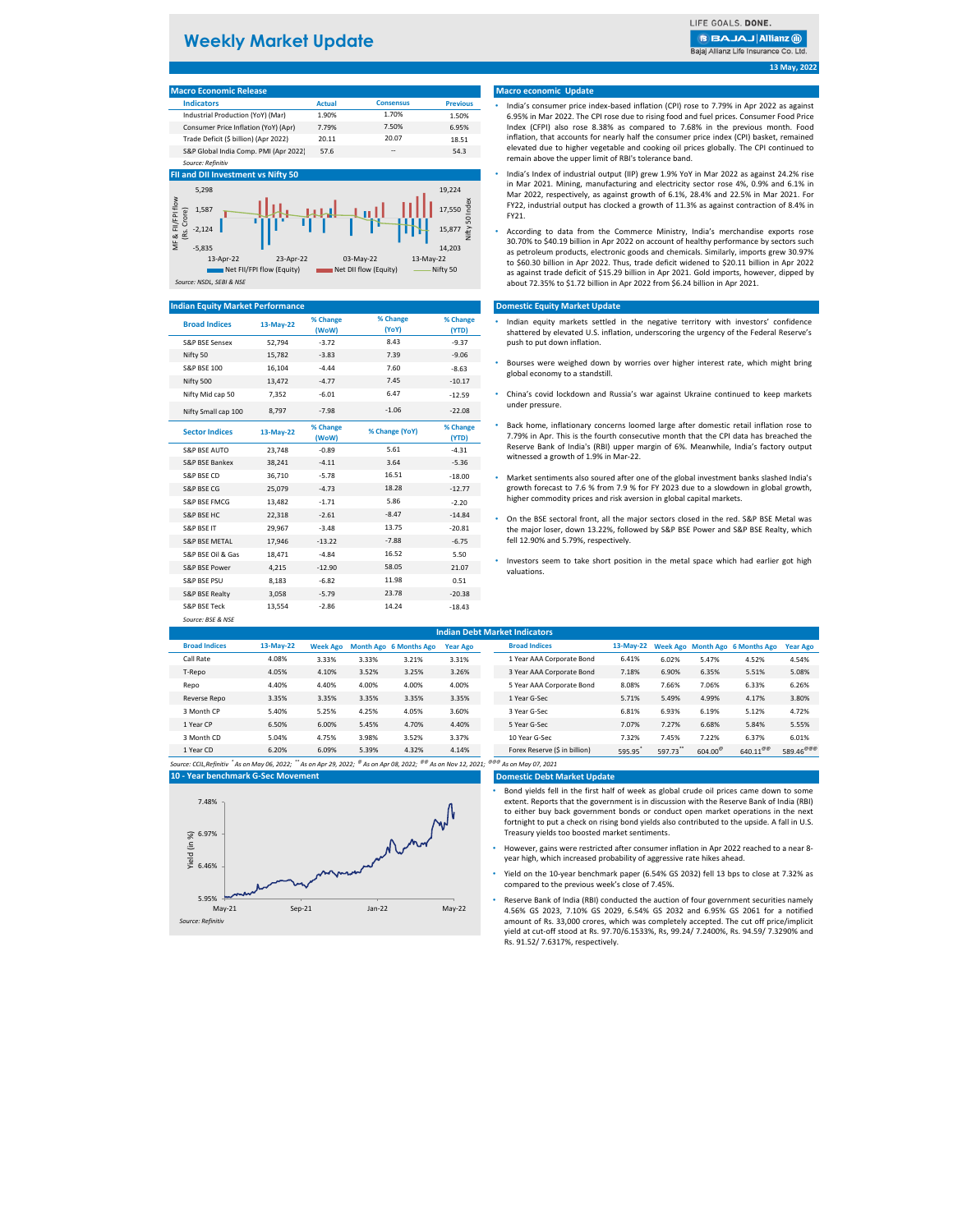# **Weekly Market Update**

LIFE GOALS. DONE.

**BBAJAJAIIianz** ®

Bajaj Allianz Life Insurance Co. Ltd.

### **Macro Economic Release**

| <b>Indicators</b>                     | <b>Actual</b> | <b>Consensus</b> | <b>Previous</b> |  |  |  |  |  |  |  |
|---------------------------------------|---------------|------------------|-----------------|--|--|--|--|--|--|--|
| Industrial Production (YoY) (Mar)     | 1.90%         | 1.70%            | 1.50%           |  |  |  |  |  |  |  |
| Consumer Price Inflation (YoY) (Apr)  | 7.79%         | 7.50%            | 6.95%           |  |  |  |  |  |  |  |
| Trade Deficit (\$ billion) (Apr 2022) | 20.11         | 20.07            | 18.51           |  |  |  |  |  |  |  |
| S&P Global India Comp. PMI (Apr 2022) | 57.6          | --               | 54.3            |  |  |  |  |  |  |  |
| Source: Refinitiv                     |               |                  |                 |  |  |  |  |  |  |  |

#### **FII and DII Investment vs Nifty 50**



#### **Indian Equity Market Performance**

| <b>Broad Indices</b>     | 13-May-22 | % Change<br>(WoW) | % Change<br>(YoY) | % Change<br>(YTD) | Indian equity markets settled in the negative territory with investors' cor<br>shattered by elevated U.S. inflation, underscoring the urgency of the Federal R  |
|--------------------------|-----------|-------------------|-------------------|-------------------|-----------------------------------------------------------------------------------------------------------------------------------------------------------------|
| S&P BSE Sensex           | 52.794    | $-3.72$           | 8.43              | $-9.37$           | push to put down inflation.                                                                                                                                     |
| Nifty 50                 | 15,782    | $-3.83$           | 7.39              | $-9.06$           |                                                                                                                                                                 |
| <b>S&amp;P BSE 100</b>   | 16,104    | $-4.44$           | 7.60              | $-8.63$           | Bourses were weighed down by worries over higher interest rate, which mig<br>global economy to a standstill.                                                    |
| Nifty 500                | 13,472    | $-4.77$           | 7.45              | $-10.17$          |                                                                                                                                                                 |
| Nifty Mid cap 50         | 7,352     | $-6.01$           | 6.47              | $-12.59$          | • China's covid lockdown and Russia's war against Ukraine continued to keep                                                                                     |
| Nifty Small cap 100      | 8,797     | $-7.98$           | $-1.06$           | $-22.08$          | under pressure.                                                                                                                                                 |
| <b>Sector Indices</b>    | 13-May-22 | % Change<br>(WoW) | % Change (YoY)    | % Change<br>(YTD) | Back home, inflationary concerns loomed large after domestic retail inflation<br>7.79% in Apr. This is the fourth consecutive month that the CPI data has bread |
| <b>S&amp;P BSE AUTO</b>  | 23,748    | $-0.89$           | 5.61              | $-4.31$           | Reserve Bank of India's (RBI) upper margin of 6%. Meanwhile, India's factory<br>witnessed a growth of 1.9% in Mar-22.                                           |
| S&P BSE Bankex           | 38,241    | $-4.11$           | 3.64              | $-5.36$           |                                                                                                                                                                 |
| S&P BSE CD               | 36,710    | $-5.78$           | 16.51             | $-18.00$          | Market sentiments also soured after one of the global investment banks slashe                                                                                   |
| S&P BSE CG               | 25,079    | $-4.73$           | 18.28             | $-12.77$          | growth forecast to 7.6 % from 7.9 % for FY 2023 due to a slowdown in global                                                                                     |
| S&P BSE FMCG             | 13,482    | $-1.71$           | 5.86              | $-2.20$           | higher commodity prices and risk aversion in global capital markets.                                                                                            |
| S&P BSE HC               | 22,318    | $-2.61$           | $-8.47$           | $-14.84$          | On the BSE sectoral front, all the major sectors closed in the red. S&P BSE M                                                                                   |
| S&P BSE IT               | 29,967    | $-3.48$           | 13.75             | $-20.81$          | the major loser, down 13.22%, followed by S&P BSE Power and S&P BSE Realt                                                                                       |
| <b>S&amp;P BSE METAL</b> | 17,946    | $-13.22$          | $-7.88$           | $-6.75$           | fell 12.90% and 5.79%, respectively.                                                                                                                            |
| S&P BSE Oil & Gas        | 18,471    | $-4.84$           | 16.52             | 5.50              |                                                                                                                                                                 |
| S&P BSE Power            | 4,215     | $-12.90$          | 58.05             | 21.07             | Investors seem to take short position in the metal space which had earlier<br>valuations.                                                                       |
| S&P BSE PSU              | 8,183     | $-6.82$           | 11.98             | 0.51              |                                                                                                                                                                 |
| S&P BSE Realty           | 3,058     | $-5.79$           | 23.78             | $-20.38$          |                                                                                                                                                                 |
| S&P BSE Teck             | 13,554    | $-2.86$           | 14.24             | $-18.43$          |                                                                                                                                                                 |
| Source: BSE & NSE        |           |                   |                   |                   |                                                                                                                                                                 |

### **Macro economic Update**

- India's consumer price index-based inflation (CPI) rose to 7.79% in Apr 2022 as against 6.95% in Mar 2022. The CPI rose due to rising food and fuel prices. Consumer Food Price Index (CFPI) also rose 8.38% as compared to 7.68% in the previous month. Food inflation, that accounts for nearly half the consumer price index (CPI) basket, remained elevated due to higher vegetable and cooking oil prices globally. The CPI continued to remain above the upper limit of RBI's tolerance band.
- India's Index of industrial output (IIP) grew 1.9% YoY in Mar 2022 as against 24.2% rise in Mar 2021. Mining, manufacturing and electricity sector rose 4%, 0.9% and 6.1% in Mar 2022, respectively, as against growth of 6.1%, 28.4% and 22.5% in Mar 2021. For FY22, industrial output has clocked a growth of 11.3% as against contraction of 8.4% in FY21.
- According to data from the Commerce Ministry, India's merchandise exports rose 30.70% to \$40.19 billion in Apr 2022 on account of healthy performance by sectors such as petroleum products, electronic goods and chemicals. Similarly, imports grew 30.97% to \$60.30 billion in Apr 2022. Thus, trade deficit widened to \$20.11 billion in Apr 2022 as against trade deficit of \$15.29 billion in Apr 2021. Gold imports, however, dipped by about 72.35% to \$1.72 billion in Apr 2022 from \$6.24 billion in Apr 2021.

#### **Domestic Equity Market Update**

- Indian equity markets settled in the negative territory with investors' confidence shattered by elevated U.S. inflation, underscoring the urgency of the Federal Reserve's push to put down inflation.
- Bourses were weighed down by worries over higher interest rate, which might bring global economy to a standstill.
- China's covid lockdown and Russia's war against Ukraine continued to keep markets under pressure.
- Back home, inflationary concerns loomed large after domestic retail inflation rose to 7.79% in Apr. This is the fourth consecutive month that the CPI data has breached the Reserve Bank of India's (RBI) upper margin of 6%. Meanwhile, India's factory output witnessed a growth of 1.9% in Mar-22.
- Market sentiments also soured after one of the global investment banks slashed India's growth forecast to 7.6 % from 7.9 % for FY 2023 due to a slowdown in global growth,
- On the BSE sectoral front, all the major sectors closed in the red. S&P BSE Metal was the major loser, down 13.22%, followed by S&P BSE Power and S&P BSE Realty, which fell 12.90% and 5.79%, respectively.
- Investors seem to take short position in the metal space which had earlier got high valuations.

| <b>Indian Debt Market Indicators</b> |                                                                                                                                                                        |                 |       |                               |                 |                               |        |         |                  |                                           |                       |
|--------------------------------------|------------------------------------------------------------------------------------------------------------------------------------------------------------------------|-----------------|-------|-------------------------------|-----------------|-------------------------------|--------|---------|------------------|-------------------------------------------|-----------------------|
| <b>Broad Indices</b>                 | 13-May-22                                                                                                                                                              | <b>Week Ago</b> |       | <b>Month Ago 6 Months Ago</b> | <b>Year Ago</b> | <b>Broad Indices</b>          |        |         |                  | 13-May-22 Week Ago Month Ago 6 Months Ago | <b>Year Ago</b>       |
| Call Rate                            | 4.08%                                                                                                                                                                  | 3.33%           | 3.33% | 3.21%                         | 3.31%           | 1 Year AAA Corporate Bond     | 6.41%  | 6.02%   | 5.47%            | 4.52%                                     | 4.54%                 |
| T-Repo                               | 4.05%                                                                                                                                                                  | 4.10%           | 3.52% | 3.25%                         | 3.26%           | 3 Year AAA Corporate Bond     | 7.18%  | 6.90%   | 6.35%            | 5.51%                                     | 5.08%                 |
| Repo                                 | 4.40%                                                                                                                                                                  | 4.40%           | 4.00% | 4.00%                         | 4.00%           | 5 Year AAA Corporate Bond     | 8.08%  | 7.66%   | 7.06%            | 6.33%                                     | 6.26%                 |
| Reverse Repo                         | 3.35%                                                                                                                                                                  | 3.35%           | 3.35% | 3.35%                         | 3.35%           | 1 Year G-Sec                  | 5.71%  | 5.49%   | 4.99%            | 4.17%                                     | 3.80%                 |
| 3 Month CP                           | 5.40%                                                                                                                                                                  | 5.25%           | 4.25% | 4.05%                         | 3.60%           | 3 Year G-Sec                  | 6.81%  | 6.93%   | 6.19%            | 5.12%                                     | 4.72%                 |
| 1 Year CP                            | 6.50%                                                                                                                                                                  | 6.00%           | 5.45% | 4.70%                         | 4.40%           | 5 Year G-Sec                  | 7.07%  | 7.27%   | 6.68%            | 5.84%                                     | 5.55%                 |
| 3 Month CD                           | 5.04%                                                                                                                                                                  | 4.75%           | 3.98% | 3.52%                         | 3.37%           | 10 Year G-Sec                 | 7.32%  | 7.45%   | 7.22%            | 6.37%                                     | 6.01%                 |
| 1 Year CD                            | 6.20%                                                                                                                                                                  | 6.09%           | 5.39% | 4.32%                         | 4.14%           | Forex Reserve (\$ in billion) | 595.95 | 597.73" | $604.00^{\circ}$ | $640.11^{\circ\circ}$                     | 589.46 <sup>@@@</sup> |
|                                      | Source: CCIL,Refinitiv ໋As on May 06, 2022; ໋໋As on Apr 29, 2022; <sup>®</sup> As on Apr 08, 2022; <sup>®®</sup> As on Nov 12, 2021; <sup>®®®</sup> As on May 07, 2021 |                 |       |                               |                 |                               |        |         |                  |                                           |                       |

**10 - Year benchmark G-Sec Movement**



## **Domestic Debt Market Update**

• Bond yields fell in the first half of week as global crude oil prices came down to some extent. Reports that the government is in discussion with the Reserve Bank of India (RBI) to either buy back government bonds or conduct open market operations in the next fortnight to put a check on rising bond yields also contributed to the upside. A fall in U.S. Treasury yields too boosted market sentiments.

- However, gains were restricted after consumer inflation in Apr 2022 reached to a near 8 year high, which increased probability of aggressive rate hikes ahead.
- Yield on the 10-year benchmark paper (6.54% GS 2032) fell 13 bps to close at 7.32% as compared to the previous week's close of 7.45%.
- Reserve Bank of India (RBI) conducted the auction of four government securities namely 4.56% GS 2023, 7.10% GS 2029, 6.54% GS 2032 and 6.95% GS 2061 for a notified amount of Rs. 33,000 crores, which was completely accepted. The cut off price/implicit yield at cut-off stood at Rs. 97.70/6.1533%, Rs, 99.24/ 7.2400%, Rs. 94.59/ 7.3290% and Rs. 91.52/ 7.6317%, respectively.